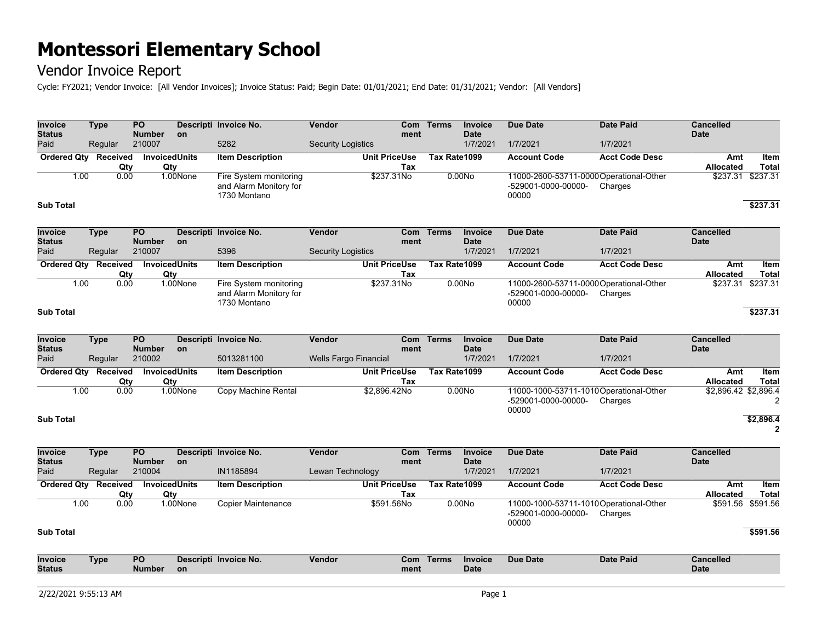### Vendor Invoice Report

Cycle: FY2021; Vendor Invoice: [All Vendor Invoices]; Invoice Status: Paid; Begin Date: 01/01/2021; End Date: 01/31/2021; Vendor: [All Vendors]

| <b>Invoice</b><br><b>Status</b> | <b>Type</b> |      | PO<br><b>Number</b>              | <b>on</b> | Descripti Invoice No.                                            | <b>Vendor</b>                |                      | <b>Com</b><br>ment | <b>Terms</b> | <b>Invoice</b><br><b>Date</b> | <b>Due Date</b>                                                        | <b>Date Paid</b>      | <b>Cancelled</b><br><b>Date</b> |                             |
|---------------------------------|-------------|------|----------------------------------|-----------|------------------------------------------------------------------|------------------------------|----------------------|--------------------|--------------|-------------------------------|------------------------------------------------------------------------|-----------------------|---------------------------------|-----------------------------|
| Paid                            | Regular     |      | 210007                           |           | 5282                                                             | <b>Security Logistics</b>    |                      |                    |              | 1/7/2021                      | 1/7/2021                                                               | 1/7/2021              |                                 |                             |
| <b>Ordered Qty Received</b>     |             | Qty  | <b>InvoicedUnits</b><br>Qty      |           | <b>Item Description</b>                                          |                              | <b>Unit PriceUse</b> | Tax                | Tax Rate1099 |                               | <b>Account Code</b>                                                    | <b>Acct Code Desc</b> | Amt<br><b>Allocated</b>         | <b>Item</b><br>Total        |
|                                 | 1.00        | 0.00 |                                  | 1.00None  | Fire System monitoring<br>and Alarm Monitory for<br>1730 Montano |                              | \$237.31No           |                    |              | 0.00No                        | 11000-2600-53711-0000Operational-Other<br>-529001-0000-00000-<br>00000 | Charges               | \$237.31                        | \$237.31                    |
| <b>Sub Total</b>                |             |      |                                  |           |                                                                  |                              |                      |                    |              |                               |                                                                        |                       |                                 | \$237.31                    |
| Invoice<br><b>Status</b>        | <b>Type</b> |      | PO<br><b>Number</b>              | on        | Descripti Invoice No.                                            | Vendor                       |                      | Com<br>ment        | <b>Terms</b> | Invoice<br><b>Date</b>        | <b>Due Date</b>                                                        | <b>Date Paid</b>      | Cancelled<br><b>Date</b>        |                             |
| Paid                            | Regular     |      | 210007                           |           | 5396                                                             | <b>Security Logistics</b>    |                      |                    |              | 1/7/2021                      | 1/7/2021                                                               | 1/7/2021              |                                 |                             |
| Ordered Qty Received            |             | Qty  | <b>InvoicedUnits</b><br>Qty      |           | <b>Item Description</b>                                          |                              | <b>Unit PriceUse</b> | Tax                | Tax Rate1099 |                               | <b>Account Code</b>                                                    | <b>Acct Code Desc</b> | Amt<br><b>Allocated</b>         | Item<br><b>Total</b>        |
|                                 | 1.00        | 0.00 |                                  | 1.00None  | Fire System monitoring<br>and Alarm Monitory for<br>1730 Montano |                              | \$237.31No           |                    |              | 0.00N <sub>o</sub>            | 11000-2600-53711-0000Operational-Other<br>-529001-0000-00000-<br>00000 | Charges               | \$237.31                        | \$237.31                    |
| <b>Sub Total</b>                |             |      |                                  |           |                                                                  |                              |                      |                    |              |                               |                                                                        |                       |                                 | \$237.31                    |
| <b>Invoice</b><br><b>Status</b> | <b>Type</b> |      | PO.<br><b>Number</b>             | on        | Descripti Invoice No.                                            | <b>Vendor</b>                |                      | <b>Com</b><br>ment | <b>Terms</b> | Invoice<br><b>Date</b>        | <b>Due Date</b>                                                        | <b>Date Paid</b>      | <b>Cancelled</b><br><b>Date</b> |                             |
| Paid                            | Regular     |      | 210002                           |           | 5013281100                                                       | <b>Wells Fargo Financial</b> |                      |                    |              | 1/7/2021                      | 1/7/2021                                                               | 1/7/2021              |                                 |                             |
| Ordered Qty Received            |             | Qty  | <b>InvoicedUnits</b><br>Qty      |           | <b>Item Description</b>                                          |                              | <b>Unit PriceUse</b> | Tax                | Tax Rate1099 |                               | <b>Account Code</b>                                                    | <b>Acct Code Desc</b> | Amt<br>Allocated                | <b>Item</b><br><b>Total</b> |
|                                 | 1.00        | 0.00 |                                  | 1.00None  | Copy Machine Rental                                              |                              | $$2,896.42N$ o       |                    |              | 0.00N <sub>o</sub>            | 11000-1000-53711-1010Operational-Other<br>-529001-0000-00000-<br>00000 | Charges               | \$2,896.42 \$2,896.4            | 2                           |
| <b>Sub Total</b>                |             |      |                                  |           |                                                                  |                              |                      |                    |              |                               |                                                                        |                       |                                 | \$2,896.4<br>$\mathbf{2}$   |
| <b>Invoice</b>                  | <b>Type</b> |      | P <sub>O</sub>                   |           | Descripti Invoice No.                                            | <b>Vendor</b>                |                      | <b>Com</b>         | <b>Terms</b> | Invoice                       | <b>Due Date</b>                                                        | <b>Date Paid</b>      | <b>Cancelled</b>                |                             |
| <b>Status</b><br>Paid           | Regular     |      | <b>Number</b><br>210004          | on        | IN1185894                                                        | Lewan Technology             |                      | ment               |              | <b>Date</b><br>1/7/2021       | 1/7/2021                                                               | 1/7/2021              | <b>Date</b>                     |                             |
| <b>Ordered Qty Received</b>     |             | Qty  | <b>InvoicedUnits</b><br>Qty      |           | <b>Item Description</b>                                          |                              | <b>Unit PriceUse</b> | Tax                | Tax Rate1099 |                               | <b>Account Code</b>                                                    | <b>Acct Code Desc</b> | Amt<br><b>Allocated</b>         | <b>Item</b><br>Total        |
|                                 | 1.00        | 0.00 |                                  | 1.00None  | <b>Copier Maintenance</b>                                        |                              | \$591.56No           |                    |              | 0.00N <sub>o</sub>            | 11000-1000-53711-1010Operational-Other<br>-529001-0000-00000-<br>00000 | Charges               | \$591.56                        | \$591.56                    |
| <b>Sub Total</b>                |             |      |                                  |           |                                                                  |                              |                      |                    |              |                               |                                                                        |                       |                                 | \$591.56                    |
| Invoice<br><b>Status</b>        | <b>Type</b> |      | $\overline{PQ}$<br><b>Number</b> | on        | Descripti Invoice No.                                            | <b>Vendor</b>                |                      | <b>Com</b><br>ment | <b>Terms</b> | Invoice<br><b>Date</b>        | <b>Due Date</b>                                                        | <b>Date Paid</b>      | <b>Cancelled</b><br><b>Date</b> |                             |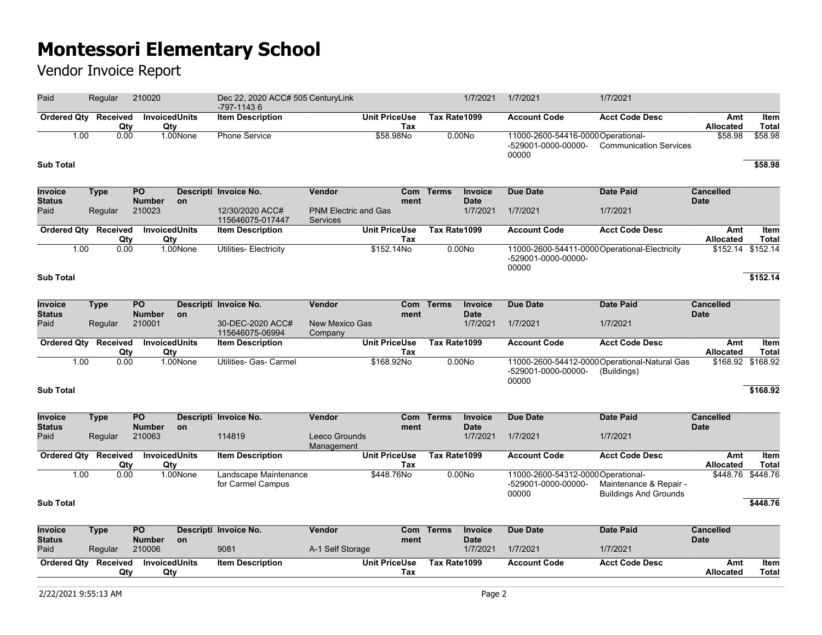| Paid                            |      | Regular                            | 210020                           |           | Dec 22, 2020 ACC# 505 CenturyLink<br>-797-11436 |                                                |                             |              | 1/7/2021                      | 1/7/2021                                                                      | 1/7/2021                                                     |                                 |                             |
|---------------------------------|------|------------------------------------|----------------------------------|-----------|-------------------------------------------------|------------------------------------------------|-----------------------------|--------------|-------------------------------|-------------------------------------------------------------------------------|--------------------------------------------------------------|---------------------------------|-----------------------------|
|                                 |      | Ordered Qty Received<br>Qty        | <b>InvoicedUnits</b><br>Qty      |           | <b>Item Description</b>                         |                                                | <b>Unit PriceUse</b><br>Tax | Tax Rate1099 |                               | <b>Account Code</b>                                                           | <b>Acct Code Desc</b>                                        | Amt<br><b>Allocated</b>         | <b>Item</b><br><b>Total</b> |
|                                 | 1.00 | 0.00                               |                                  | 1.00None  | <b>Phone Service</b>                            |                                                | \$58.98No                   |              | 0.00N <sub>o</sub>            | 11000-2600-54416-0000 Operational-<br>-529001-0000-00000-<br>00000            | <b>Communication Services</b>                                | \$58.98                         | \$58.98                     |
| <b>Sub Total</b>                |      |                                    |                                  |           |                                                 |                                                |                             |              |                               |                                                                               |                                                              |                                 | \$58.98                     |
| <b>Invoice</b><br><b>Status</b> |      | <b>Type</b>                        | <b>PO</b><br><b>Number</b>       | <b>on</b> | Descripti Invoice No.                           | <b>Vendor</b>                                  | Com<br>ment                 | <b>Terms</b> | <b>Invoice</b><br><b>Date</b> | <b>Due Date</b>                                                               | <b>Date Paid</b>                                             | <b>Cancelled</b><br><b>Date</b> |                             |
| Paid                            |      | Regular                            | 210023                           |           | 12/30/2020 ACC#<br>115646075-017447             | <b>PNM Electric and Gas</b><br><b>Services</b> |                             |              | 1/7/2021                      | 1/7/2021                                                                      | 1/7/2021                                                     |                                 |                             |
|                                 |      | <b>Ordered Qty Received</b><br>Qty | <b>InvoicedUnits</b><br>Qty      |           | <b>Item Description</b>                         |                                                | <b>Unit PriceUse</b><br>Tax | Tax Rate1099 |                               | <b>Account Code</b>                                                           | <b>Acct Code Desc</b>                                        | Amt<br><b>Allocated</b>         | Item<br><b>Total</b>        |
|                                 | 1.00 | 0.00                               |                                  | 1.00None  | Utilities- Electricity                          |                                                | \$152.14No                  |              | 0.00No                        | 11000-2600-54411-0000 Operational-Electricity<br>-529001-0000-00000-<br>00000 |                                                              | \$152.14 \$152.14               |                             |
| <b>Sub Total</b>                |      |                                    |                                  |           |                                                 |                                                |                             |              |                               |                                                                               |                                                              |                                 | \$152.14                    |
| <b>Invoice</b><br><b>Status</b> |      | <b>Type</b>                        | PO<br><b>Number</b>              | on        | Descripti Invoice No.                           | Vendor                                         | Com<br>ment                 | <b>Terms</b> | <b>Invoice</b><br><b>Date</b> | <b>Due Date</b>                                                               | <b>Date Paid</b>                                             | <b>Cancelled</b><br><b>Date</b> |                             |
| Paid                            |      | Regular                            | 210001                           |           | 30-DEC-2020 ACC#<br>115646075-06994             | <b>New Mexico Gas</b><br>Company               |                             |              | 1/7/2021                      | 1/7/2021                                                                      | 1/7/2021                                                     |                                 |                             |
| <b>Ordered Qty</b>              |      | Received<br>Qty                    | <b>InvoicedUnits</b><br>Qty      |           | <b>Item Description</b>                         |                                                | <b>Unit PriceUse</b><br>Tax | Tax Rate1099 |                               | <b>Account Code</b>                                                           | <b>Acct Code Desc</b>                                        | Amt<br>Allocated                | Item<br><b>Total</b>        |
|                                 | 1.00 | 0.00                               |                                  | 1.00None  | Utilities- Gas- Carmel                          |                                                | \$168.92No                  |              | 0.00N <sub>o</sub>            | -529001-0000-00000-<br>00000                                                  | 11000-2600-54412-0000 Operational-Natural Gas<br>(Buildings) | \$168.92                        | \$168.92                    |
| <b>Sub Total</b>                |      |                                    |                                  |           |                                                 |                                                |                             |              |                               |                                                                               |                                                              |                                 | \$168.92                    |
| Invoice                         |      | <b>Type</b>                        | <b>PO</b>                        |           | Descripti Invoice No.                           | <b>Vendor</b>                                  | Com                         | <b>Terms</b> | <b>Invoice</b>                | <b>Due Date</b>                                                               | <b>Date Paid</b>                                             | <b>Cancelled</b>                |                             |
| <b>Status</b><br>Paid           |      | Regular                            | <b>Number</b><br>210063          | on        | 114819                                          | Leeco Grounds<br>Management                    | ment                        |              | <b>Date</b><br>1/7/2021       | 1/7/2021                                                                      | 1/7/2021                                                     | <b>Date</b>                     |                             |
|                                 |      | Ordered Qty Received<br>Qty        | <b>InvoicedUnits</b><br>Qty      |           | <b>Item Description</b>                         |                                                | <b>Unit PriceUse</b><br>Tax | Tax Rate1099 |                               | <b>Account Code</b>                                                           | <b>Acct Code Desc</b>                                        | Amt<br><b>Allocated</b>         | Item<br><b>Total</b>        |
|                                 | 1.00 | 0.00                               |                                  | 1.00None  | Landscape Maintenance<br>for Carmel Campus      |                                                | \$448.76No                  |              | 0.00No                        | 11000-2600-54312-0000Operational-<br>-529001-0000-00000-<br>00000             | Maintenance & Repair -<br><b>Buildings And Grounds</b>       | \$448.76                        | \$448.76                    |
| <b>Sub Total</b>                |      |                                    |                                  |           |                                                 |                                                |                             |              |                               |                                                                               |                                                              |                                 | \$448.76                    |
| <b>Invoice</b><br><b>Status</b> |      | <b>Type</b>                        | $\overline{PQ}$<br><b>Number</b> | <b>on</b> | Descripti Invoice No.                           | <b>Vendor</b>                                  | <b>Com</b><br>ment          | <b>Terms</b> | <b>Invoice</b><br><b>Date</b> | <b>Due Date</b>                                                               | <b>Date Paid</b>                                             | <b>Cancelled</b><br><b>Date</b> |                             |
| Paid                            |      | Regular                            | 210006                           |           | 9081                                            | A-1 Self Storage                               |                             |              | 1/7/2021                      | 1/7/2021                                                                      | 1/7/2021                                                     |                                 |                             |
| <b>Ordered Qty</b>              |      | <b>Received</b><br>Qty             | <b>InvoicedUnits</b><br>Qty      |           | <b>Item Description</b>                         |                                                | <b>Unit PriceUse</b><br>Tax | Tax Rate1099 |                               | <b>Account Code</b>                                                           | <b>Acct Code Desc</b>                                        | Amt<br><b>Allocated</b>         | Item<br><b>Total</b>        |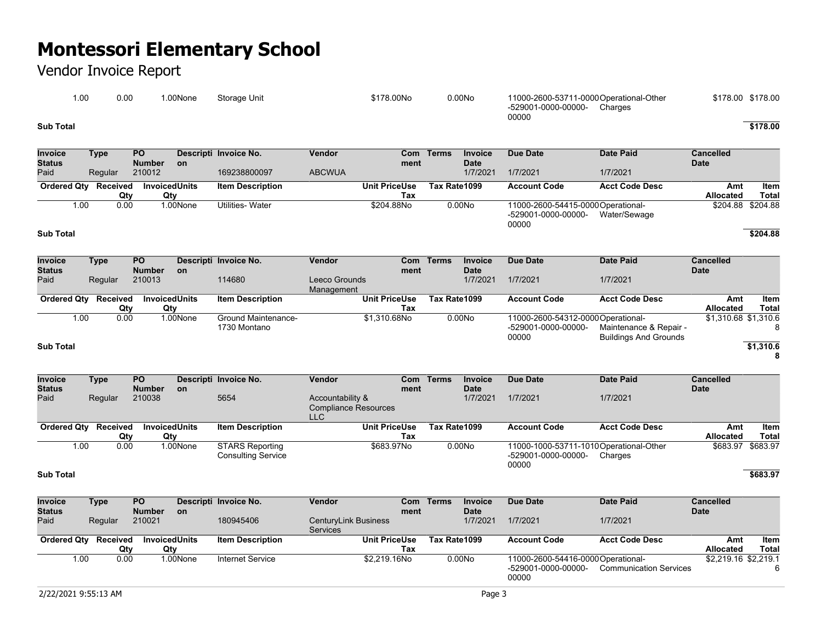Vendor Invoice Report

| .00       | 0.00 | .00None | Storage Unit | \$178.00No | 0.00N <sub>O</sub> | 11000-2600-53711-0000Operational-Other<br>Charges<br>-529001-0000-00000-<br>00000 | \$178.00 \$178.00 |
|-----------|------|---------|--------------|------------|--------------------|-----------------------------------------------------------------------------------|-------------------|
| Sub Total |      |         |              |            |                    |                                                                                   | \$178.00          |

| <b>Invoice</b><br><b>Status</b> | Type            | <b>PO</b><br><b>Number</b> | <b>on</b> | Descripti Invoice No.   | Vendor        | Com<br>ment          | Terms        | <b>Invoice</b><br><b>Date</b> | Due Date                                                           | Date Paid             | <b>Cancelled</b><br><b>Date</b> |                   |
|---------------------------------|-----------------|----------------------------|-----------|-------------------------|---------------|----------------------|--------------|-------------------------------|--------------------------------------------------------------------|-----------------------|---------------------------------|-------------------|
| Paid                            | Regular         | 210012                     |           | 169238800097            | <b>ABCWUA</b> |                      |              | 1/7/2021                      | 1/7/2021                                                           | 1/7/2021              |                                 |                   |
| <b>Ordered Qty</b>              | <b>Received</b> | <b>InvoicedUnits</b>       |           | <b>Item Description</b> |               | <b>Unit PriceUse</b> | Tax Rate1099 |                               | <b>Account Code</b>                                                | <b>Acct Code Desc</b> | Amt                             | Item              |
|                                 | Qty             | Qty                        |           |                         |               | Tax                  |              |                               |                                                                    |                       | <b>Allocated</b>                | Total             |
| 1.OC                            | 0.00            |                            | 1.00None  | Utilities- Water        |               | \$204.88No           |              | 0.00N <sub>o</sub>            | 11000-2600-54415-0000 Operational-<br>-529001-0000-00000-<br>00000 | Water/Sewage          |                                 | \$204.88 \$204.88 |

**Sub Total \$204.88**

| <b>Invoice</b>     | Type     | <b>PO</b>     |           | Descripti Invoice No.   | Vendor        | Com                  | Terms        | Invoice     | Due Date                          | Date Paid                    | <b>Cancelled</b>     |              |
|--------------------|----------|---------------|-----------|-------------------------|---------------|----------------------|--------------|-------------|-----------------------------------|------------------------------|----------------------|--------------|
| <b>Status</b>      |          | <b>Number</b> | <b>on</b> |                         |               | ment                 |              | <b>Date</b> |                                   |                              | <b>Date</b>          |              |
| Paid               | Regular  | 210013        |           | 114680                  | Leeco Grounds |                      |              | 1/7/2021    | 1/7/2021                          | 1/7/2021                     |                      |              |
|                    |          |               |           |                         | Management    |                      |              |             |                                   |                              |                      |              |
| <b>Ordered Qty</b> | Received | InvoicedUnits |           | <b>Item Description</b> |               | <b>Unit PriceUse</b> | Tax Rate1099 |             | <b>Account Code</b>               | <b>Acct Code Desc</b>        | Amt                  | Item         |
|                    | Qtv      | Qtv           |           |                         |               | Tax                  |              |             |                                   |                              | <b>Allocated</b>     | <b>Total</b> |
| 1.00               | 0.00     |               | 1.00None  | Ground Maintenance-     |               | \$1.310.68No         |              | 0.00No      | 11000-2600-54312-0000Operational- |                              | \$1,310.68 \$1,310.6 |              |
|                    |          |               |           | 1730 Montano            |               |                      |              |             | -529001-0000-00000-               | Maintenance & Repair -       |                      |              |
|                    |          |               |           |                         |               |                      |              |             | 00000                             | <b>Buildings And Grounds</b> |                      |              |
| <b>Sub Total</b>   |          |               |           |                         |               |                      |              |             |                                   |                              |                      | \$1,310.6    |

| Invoice<br><b>Status</b> | Type            | <b>PO</b><br><b>Number</b>  | <b>on</b> | Descripti Invoice No.                               | Vendor                                                        | ment | Com Terms    | <b>Invoice</b><br><b>Date</b> | Due Date                     | <b>Date Paid</b>                                  | <b>Cancelled</b><br><b>Date</b> |                      |
|--------------------------|-----------------|-----------------------------|-----------|-----------------------------------------------------|---------------------------------------------------------------|------|--------------|-------------------------------|------------------------------|---------------------------------------------------|---------------------------------|----------------------|
| Paid                     | Regular         | 210038                      |           | 5654                                                | Accountability &<br><b>Compliance Resources</b><br><b>LLC</b> |      |              | 1/7/2021                      | 1/7/2021                     | 1/7/2021                                          |                                 |                      |
| <b>Ordered Qty</b>       | Received<br>Qty | <b>InvoicedUnits</b><br>Qtv |           | <b>Item Description</b>                             | <b>Unit PriceUse</b>                                          | Tax  | Tax Rate1099 |                               | <b>Account Code</b>          | <b>Acct Code Desc</b>                             | Amt<br><b>Allocated</b>         | Item<br><b>Total</b> |
| 1.00                     | 0.00            |                             | 1.00None  | <b>STARS Reporting</b><br><b>Consulting Service</b> | \$683.97No                                                    |      |              | 0.00N <sub>0</sub>            | -529001-0000-00000-<br>00000 | 11000-1000-53711-1010Operational-Other<br>Charges |                                 | \$683.97 \$683.97    |
| <b>Sub Total</b>         |                 |                             |           |                                                     |                                                               |      |              |                               |                              |                                                   |                                 | \$683.97             |

| <b>Invoice</b><br><b>Status</b> | Type            | <b>PO</b><br><b>Number</b> | <b>on</b> | Descripti Invoice No.   | Vendor                                  | Com<br>ment | Terms        | Invoice<br><b>Date</b> | Due Date                                                           | Date Paid                     | <b>Cancelled</b><br><b>Date</b> |       |
|---------------------------------|-----------------|----------------------------|-----------|-------------------------|-----------------------------------------|-------------|--------------|------------------------|--------------------------------------------------------------------|-------------------------------|---------------------------------|-------|
| Paid                            | Regular         | 210021                     |           | 180945406               | CenturyLink Business<br><b>Services</b> |             |              | 1/7/2021               | 1/7/2021                                                           | 1/7/2021                      |                                 |       |
| <b>Ordered Qtv</b>              | <b>Received</b> | <b>InvoicedUnits</b>       |           | <b>Item Description</b> | <b>Unit PriceUse</b>                    |             | Tax Rate1099 |                        | <b>Account Code</b>                                                | <b>Acct Code Desc</b>         | Amt                             | Item  |
|                                 | Qty             | Qty                        |           |                         |                                         | Tax         |              |                        |                                                                    |                               | Allocated                       | Total |
| 1.00                            | 0.00            |                            | 1.00None  | Internet Service        | \$2.219.16No                            |             |              | 0.00N <sub>O</sub>     | 11000-2600-54416-0000 Operational-<br>-529001-0000-00000-<br>00000 | <b>Communication Services</b> | \$2,219.16 \$2,219.1            |       |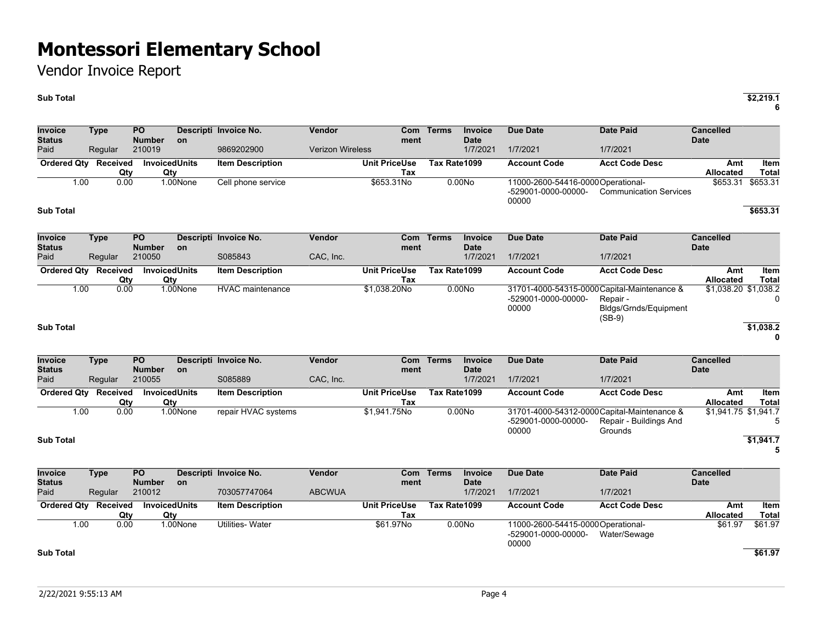### Vendor Invoice Report

### **Sub Total \$2,219.1**

**6**

| <b>Invoice</b><br><b>Status</b> |      | <b>Type</b>                 | PO<br><b>Number</b>         |           | Descripti Invoice No.   | Vendor                  | Com<br>ment                 | Terms        | <b>Invoice</b><br><b>Date</b> | <b>Due Date</b>                                                             | <b>Date Paid</b>                              | <b>Cancelled</b><br><b>Date</b> |                             |
|---------------------------------|------|-----------------------------|-----------------------------|-----------|-------------------------|-------------------------|-----------------------------|--------------|-------------------------------|-----------------------------------------------------------------------------|-----------------------------------------------|---------------------------------|-----------------------------|
| Paid                            |      | Regular                     | 210019                      | <b>on</b> | 9869202900              | <b>Verizon Wireless</b> |                             |              | 1/7/2021                      | 1/7/2021                                                                    | 1/7/2021                                      |                                 |                             |
|                                 |      | Ordered Qty Received<br>Qty | <b>InvoicedUnits</b><br>Qty |           | <b>Item Description</b> |                         | <b>Unit PriceUse</b><br>Tax | Tax Rate1099 |                               | <b>Account Code</b>                                                         | <b>Acct Code Desc</b>                         | Amt<br>Allocated                | Item<br><b>Total</b>        |
|                                 | 1.00 | 0.00                        |                             | 1.00None  | Cell phone service      |                         | \$653.31No                  |              | 0.00N <sub>o</sub>            | 11000-2600-54416-0000 Operational-<br>-529001-0000-00000-<br>00000          | <b>Communication Services</b>                 | \$653.31                        | \$653.31                    |
| <b>Sub Total</b>                |      |                             |                             |           |                         |                         |                             |              |                               |                                                                             |                                               |                                 | \$653.31                    |
| <b>Invoice</b><br><b>Status</b> |      | <b>Type</b>                 | PO<br><b>Number</b>         | <b>on</b> | Descripti Invoice No.   | Vendor                  | Com<br>ment                 | <b>Terms</b> | <b>Invoice</b><br><b>Date</b> | <b>Due Date</b>                                                             | <b>Date Paid</b>                              | <b>Cancelled</b><br><b>Date</b> |                             |
| Paid                            |      | Regular                     | 210050                      |           | S085843                 | CAC. Inc.               |                             |              | 1/7/2021                      | 1/7/2021                                                                    | 1/7/2021                                      |                                 |                             |
| <b>Ordered Qtv</b>              |      | <b>Received</b><br>Qty      | <b>InvoicedUnits</b><br>Qty |           | <b>Item Description</b> |                         | <b>Unit PriceUse</b><br>Tax | Tax Rate1099 |                               | <b>Account Code</b>                                                         | <b>Acct Code Desc</b>                         | Amt<br>Allocated                | Item<br><b>Total</b>        |
|                                 | 1.00 | 0.00                        |                             | 1.00None  | <b>HVAC</b> maintenance |                         | \$1,038.20No                |              | 0.00N <sub>o</sub>            | 31701-4000-54315-0000 Capital-Maintenance &<br>-529001-0000-00000-<br>00000 | Repair -<br>Bldgs/Grnds/Equipment<br>$(SB-9)$ | \$1,038.20 \$1,038.2            | 0                           |
| <b>Sub Total</b>                |      |                             |                             |           |                         |                         |                             |              |                               |                                                                             |                                               |                                 | \$1,038.2<br>$\mathbf{0}$   |
| Invoice<br><b>Status</b>        |      | <b>Type</b>                 | <b>PO</b><br><b>Number</b>  | <b>on</b> | Descripti Invoice No.   | Vendor                  | Com<br>ment                 | <b>Terms</b> | Invoice<br><b>Date</b>        | <b>Due Date</b>                                                             | <b>Date Paid</b>                              | Cancelled<br><b>Date</b>        |                             |
| Paid                            |      | Regular                     | 210055                      |           | S085889                 | CAC, Inc.               |                             |              | 1/7/2021                      | 1/7/2021                                                                    | 1/7/2021                                      |                                 |                             |
|                                 |      | Ordered Qty Received<br>Qty | <b>InvoicedUnits</b><br>Qty |           | <b>Item Description</b> |                         | <b>Unit PriceUse</b><br>Tax | Tax Rate1099 |                               | <b>Account Code</b>                                                         | <b>Acct Code Desc</b>                         | Amt<br>Allocated                | <b>Item</b><br><b>Total</b> |
|                                 | 1.00 | 0.00                        |                             | 1.00None  | repair HVAC systems     |                         | \$1,941.75No                |              | 0.00N <sub>O</sub>            | 31701-4000-54312-0000 Capital-Maintenance &<br>-529001-0000-00000-<br>00000 | Repair - Buildings And<br>Grounds             | \$1,941.75 \$1,941.7            | 5                           |
| <b>Sub Total</b>                |      |                             |                             |           |                         |                         |                             |              |                               |                                                                             |                                               |                                 | \$1,941.7<br>5              |
| <b>Invoice</b><br><b>Status</b> |      | <b>Type</b>                 | <b>PO</b><br><b>Number</b>  | <b>on</b> | Descripti Invoice No.   | Vendor                  | <b>Com</b><br>ment          | <b>Terms</b> | <b>Invoice</b><br><b>Date</b> | <b>Due Date</b>                                                             | <b>Date Paid</b>                              | <b>Cancelled</b><br><b>Date</b> |                             |
| Paid                            |      | Regular                     | 210012                      |           | 703057747064            | <b>ABCWUA</b>           |                             |              | 1/7/2021                      | 1/7/2021                                                                    | 1/7/2021                                      |                                 |                             |
|                                 |      | Ordered Qty Received<br>Qty | InvoicedUnits<br>Qty        |           | <b>Item Description</b> |                         | <b>Unit PriceUse</b><br>Tax | Tax Rate1099 |                               | <b>Account Code</b>                                                         | <b>Acct Code Desc</b>                         | Amt<br>Allocated                | Item<br><b>Total</b>        |
|                                 | 1.00 | 0.00                        |                             | 1.00None  | <b>Utilities- Water</b> |                         | \$61.97No                   |              | 0.00No                        | 11000-2600-54415-0000 Operational-<br>-529001-0000-00000-                   | Water/Sewage                                  | \$61.97                         | \$61.97                     |

### **Sub Total \$61.97**

00000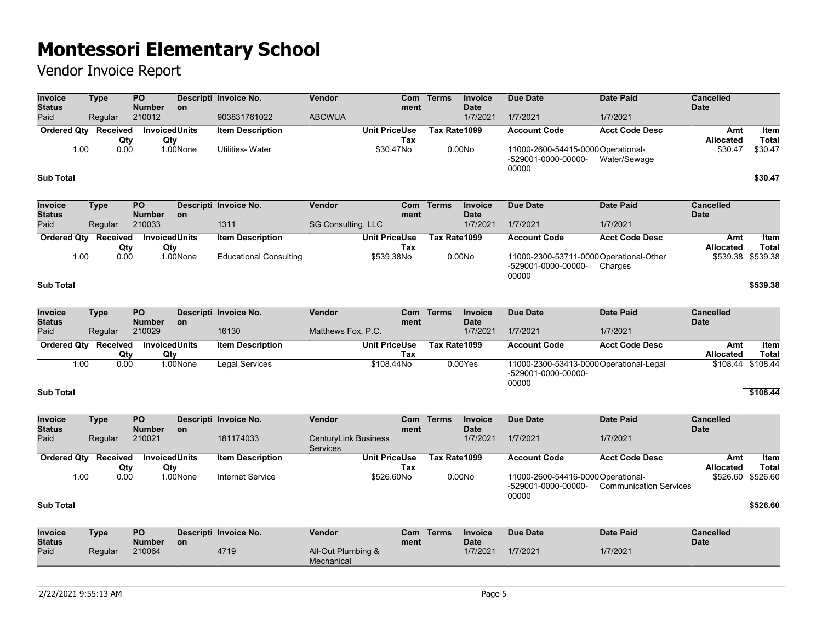| Invoice<br><b>Status</b>        | <b>Type</b>                        | <b>PO</b><br><b>Number</b>  | <b>on</b> | Descripti Invoice No.          | Vendor                                         |                      | <b>Com</b><br>ment | Terms        | Invoice<br><b>Date</b> | <b>Due Date</b>                                                        | <b>Date Paid</b>              | <b>Cancelled</b><br><b>Date</b> |                             |
|---------------------------------|------------------------------------|-----------------------------|-----------|--------------------------------|------------------------------------------------|----------------------|--------------------|--------------|------------------------|------------------------------------------------------------------------|-------------------------------|---------------------------------|-----------------------------|
| Paid                            | Regular                            | 210012                      |           | 903831761022                   | <b>ABCWUA</b>                                  |                      |                    |              | 1/7/2021               | 1/7/2021                                                               | 1/7/2021                      |                                 |                             |
|                                 | <b>Ordered Qty Received</b><br>Qty | <b>InvoicedUnits</b><br>Qtv |           | <b>Item Description</b>        |                                                | <b>Unit PriceUse</b> | Tax                | Tax Rate1099 |                        | <b>Account Code</b>                                                    | <b>Acct Code Desc</b>         | Amt<br><b>Allocated</b>         | Item<br><b>Total</b>        |
| 1.00<br><b>Sub Total</b>        | 0.00                               |                             | 1.00None  | <b>Utilities- Water</b>        |                                                | \$30.47No            |                    |              | 0.00No                 | 11000-2600-54415-0000 Operational-<br>-529001-0000-00000-<br>00000     | Water/Sewage                  | \$30.47                         | \$30.47<br>\$30.47          |
|                                 |                                    |                             |           |                                |                                                |                      |                    |              |                        |                                                                        |                               |                                 |                             |
| <b>Invoice</b><br><b>Status</b> | <b>Type</b>                        | PO<br><b>Number</b>         | on        | Descripti Invoice No.          | Vendor                                         |                      | ment               | Com Terms    | Invoice<br><b>Date</b> | <b>Due Date</b>                                                        | <b>Date Paid</b>              | <b>Cancelled</b><br><b>Date</b> |                             |
| Paid                            | Regular                            | 210033                      |           | 1311                           | SG Consulting, LLC                             |                      |                    |              | 1/7/2021               | 1/7/2021                                                               | 1/7/2021                      |                                 |                             |
|                                 | Ordered Qty Received<br>Qty        | <b>InvoicedUnits</b><br>Qty |           | <b>Item Description</b>        |                                                | <b>Unit PriceUse</b> | Tax                | Tax Rate1099 |                        | <b>Account Code</b>                                                    | <b>Acct Code Desc</b>         | Amt<br>Allocated                | <b>Item</b><br><b>Total</b> |
| 1.00                            | 0.00                               |                             | 1.00None  | <b>Educational Consulting</b>  |                                                | \$539.38No           |                    |              | 0.00N <sub>o</sub>     | 11000-2300-53711-0000Operational-Other<br>-529001-0000-00000-<br>00000 | Charges                       | \$539.38                        | \$539.38                    |
| <b>Sub Total</b>                |                                    |                             |           |                                |                                                |                      |                    |              |                        |                                                                        |                               |                                 | \$539.38                    |
| <b>Invoice</b><br><b>Status</b> | Type                               | <b>PO</b><br><b>Number</b>  | on        | Descripti Invoice No.<br>16130 | <b>Vendor</b>                                  |                      | Com<br>ment        | <b>Terms</b> | Invoice<br><b>Date</b> | <b>Due Date</b>                                                        | <b>Date Paid</b>              | <b>Cancelled</b><br><b>Date</b> |                             |
| Paid                            | Regular                            | 210029                      |           |                                | Matthews Fox, P.C.                             |                      |                    |              | 1/7/2021               | 1/7/2021                                                               | 1/7/2021                      |                                 |                             |
| <b>Ordered Qty</b>              | Received<br>Qty                    | <b>InvoicedUnits</b><br>Qty |           | <b>Item Description</b>        |                                                | <b>Unit PriceUse</b> | Tax                | Tax Rate1099 |                        | <b>Account Code</b>                                                    | <b>Acct Code Desc</b>         | Amt<br><b>Allocated</b>         | Item<br><b>Total</b>        |
| 1.00                            | 0.00                               |                             | 1.00None  | <b>Legal Services</b>          |                                                | \$108.44No           |                    |              | 0.00Yes                | 11000-2300-53413-0000Operational-Legal<br>-529001-0000-00000-<br>00000 |                               | \$108.44                        | \$108.44                    |
| <b>Sub Total</b>                |                                    |                             |           |                                |                                                |                      |                    |              |                        |                                                                        |                               |                                 | \$108.44                    |
| <b>Invoice</b><br><b>Status</b> | <b>Type</b>                        | <b>PO</b><br><b>Number</b>  | on        | Descripti Invoice No.          | <b>Vendor</b>                                  |                      | ment               | Com Terms    | Invoice<br><b>Date</b> | <b>Due Date</b>                                                        | <b>Date Paid</b>              | <b>Cancelled</b><br><b>Date</b> |                             |
| Paid                            | Regular                            | 210021                      |           | 181174033                      | <b>CenturyLink Business</b><br><b>Services</b> |                      |                    |              | 1/7/2021               | 1/7/2021                                                               | 1/7/2021                      |                                 |                             |
|                                 | Ordered Qty Received<br>Qty        | <b>InvoicedUnits</b><br>Qty |           | <b>Item Description</b>        |                                                | <b>Unit PriceUse</b> | Tax                | Tax Rate1099 |                        | <b>Account Code</b>                                                    | <b>Acct Code Desc</b>         | Amt<br>Allocated                | Item<br><b>Total</b>        |
| 1.00                            | 0.00                               |                             | 1.00None  | <b>Internet Service</b>        |                                                | \$526.60No           |                    |              | 0.00N <sub>o</sub>     | 11000-2600-54416-0000 Operational-<br>-529001-0000-00000-<br>00000     | <b>Communication Services</b> |                                 | \$526.60 \$526.60           |
| <b>Sub Total</b>                |                                    |                             |           |                                |                                                |                      |                    |              |                        |                                                                        |                               |                                 | \$526.60                    |
| <b>Invoice</b><br><b>Status</b> | <b>Type</b>                        | <b>PO</b><br><b>Number</b>  | on        | Descripti Invoice No.          | <b>Vendor</b>                                  |                      | ment               | Com Terms    | Invoice<br><b>Date</b> | <b>Due Date</b>                                                        | <b>Date Paid</b>              | <b>Cancelled</b><br><b>Date</b> |                             |
| Paid                            | Regular                            | 210064                      |           | 4719                           | All-Out Plumbing &<br>Mechanical               |                      |                    |              | 1/7/2021               | 1/7/2021                                                               | 1/7/2021                      |                                 |                             |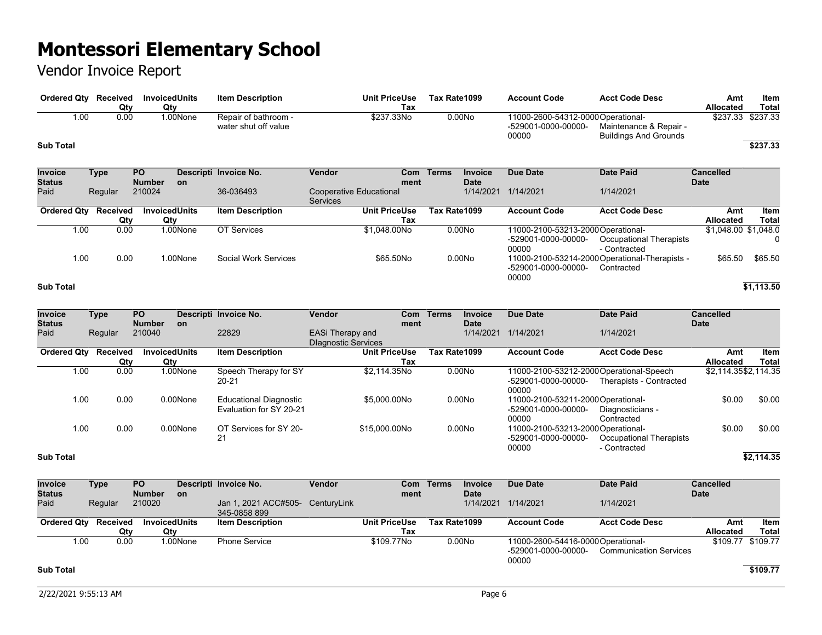| Ordered Qty Received               |      | Qty             |                                  | InvoicedUnits<br>Qtv        | <b>Item Description</b>                                  |                                                   | <b>Unit PriceUse</b><br>Tax     | Tax Rate1099 |                               | <b>Account Code</b>                                                      | <b>Acct Code Desc</b>                                        | Amt<br><b>Allocated</b>         | Item<br><b>Total</b> |
|------------------------------------|------|-----------------|----------------------------------|-----------------------------|----------------------------------------------------------|---------------------------------------------------|---------------------------------|--------------|-------------------------------|--------------------------------------------------------------------------|--------------------------------------------------------------|---------------------------------|----------------------|
|                                    | 1.00 | 0.00            |                                  | 1.00None                    | Repair of bathroom -<br>water shut off value             |                                                   | \$237.33No                      |              | 0.00N <sub>O</sub>            | 11000-2600-54312-0000Operational-<br>-529001-0000-00000-<br>00000        | Maintenance & Repair -<br><b>Buildings And Grounds</b>       | \$237.33                        | \$237.33             |
| <b>Sub Total</b>                   |      |                 |                                  |                             |                                                          |                                                   |                                 |              |                               |                                                                          |                                                              |                                 | \$237.33             |
| <b>Invoice</b><br><b>Status</b>    |      | <b>Type</b>     | <b>PO</b><br><b>Number</b>       | on                          | Descripti Invoice No.                                    | Vendor                                            | ment                            | Com Terms    | <b>Invoice</b><br><b>Date</b> | Due Date                                                                 | <b>Date Paid</b>                                             | <b>Cancelled</b><br><b>Date</b> |                      |
| Paid                               |      | Regular         | 210024                           |                             | 36-036493                                                | <b>Cooperative Educational</b><br><b>Services</b> |                                 |              |                               | 1/14/2021 1/14/2021                                                      | 1/14/2021                                                    |                                 |                      |
| <b>Ordered Qty</b>                 |      | Received<br>Qty |                                  | <b>InvoicedUnits</b><br>Qty | <b>Item Description</b>                                  |                                                   | <b>Unit PriceUse</b><br>Tax     | Tax Rate1099 |                               | <b>Account Code</b>                                                      | <b>Acct Code Desc</b>                                        | Amt<br><b>Allocated</b>         | <b>Item</b><br>Total |
|                                    | 1.00 | 0.00            |                                  | 1.00None                    | <b>OT Services</b>                                       |                                                   | \$1,048.00No                    |              | 0.00N <sub>o</sub>            | 11000-2100-53213-2000Operational-<br>-529001-0000-00000-<br>00000        | <b>Occupational Therapists</b><br>- Contracted               | \$1,048.00 \$1,048.0            | 0                    |
|                                    | 1.00 | 0.00            |                                  | 1.00None                    | Social Work Services                                     |                                                   | \$65.50No                       |              | 0.00N <sub>O</sub>            | -529001-0000-00000-<br>00000                                             | 11000-2100-53214-2000 Operational-Therapists -<br>Contracted | \$65.50                         | \$65.50              |
| <b>Sub Total</b>                   |      |                 |                                  |                             |                                                          |                                                   |                                 |              |                               |                                                                          |                                                              |                                 | \$1,113.50           |
| Invoice<br><b>Status</b>           |      | <b>Type</b>     | $\overline{PO}$<br><b>Number</b> | on                          | Descripti Invoice No.                                    | Vendor                                            | $\overline{\text{Com}}$<br>ment | <b>Terms</b> | <b>Invoice</b><br><b>Date</b> | Due Date                                                                 | <b>Date Paid</b>                                             | <b>Cancelled</b><br><b>Date</b> |                      |
| Paid                               |      | Regular         | 210040                           |                             | 22829                                                    | EASi Therapy and<br><b>Dlagnostic Services</b>    |                                 |              |                               | 1/14/2021 1/14/2021                                                      | 1/14/2021                                                    |                                 |                      |
| <b>Ordered Qty</b>                 |      | Received<br>Qty |                                  | InvoicedUnits<br>Qty        | <b>Item Description</b>                                  |                                                   | <b>Unit PriceUse</b><br>Tax     | Tax Rate1099 |                               | <b>Account Code</b>                                                      | <b>Acct Code Desc</b>                                        | Amt<br>Allocated                | Item<br><b>Total</b> |
|                                    | 1.00 | 0.00            |                                  | 1.00None                    | Speech Therapy for SY<br>$20 - 21$                       |                                                   | \$2,114.35No                    |              | 0.00N <sub>o</sub>            | 11000-2100-53212-2000 Operational-Speech<br>-529001-0000-00000-<br>00000 | Therapists - Contracted                                      | \$2,114.35\$2,114.35            |                      |
|                                    | 1.00 | 0.00            |                                  | 0.00None                    | <b>Educational Diagnostic</b><br>Evaluation for SY 20-21 |                                                   | \$5,000.00No                    |              | 0.00N <sub>O</sub>            | 11000-2100-53211-2000Operational-<br>-529001-0000-00000-<br>00000        | Diagnosticians -<br>Contracted                               | \$0.00                          | \$0.00               |
|                                    | 1.00 | 0.00            |                                  | 0.00None                    | OT Services for SY 20-<br>21                             |                                                   | \$15,000.00No                   |              | 0.00N <sub>O</sub>            | 11000-2100-53213-2000 Operational-<br>-529001-0000-00000-<br>00000       | <b>Occupational Therapists</b><br>- Contracted               | \$0.00                          | \$0.00               |
| <b>Sub Total</b>                   |      |                 |                                  |                             |                                                          |                                                   |                                 |              |                               |                                                                          |                                                              |                                 | \$2.114.35           |
| <b>Invoice</b>                     |      | <b>Type</b>     | <b>PO</b>                        |                             | Descripti Invoice No.                                    | Vendor                                            | Com                             | <b>Terms</b> | <b>Invoice</b>                | Due Date                                                                 | <b>Date Paid</b>                                             | <b>Cancelled</b>                |                      |
| <b>Status</b><br>Paid              |      | Regular         | <b>Number</b><br>210020          | on                          | Jan 1, 2021 ACC#505-<br>345-0858 899                     | CenturyLink                                       | ment                            |              | <b>Date</b>                   | 1/14/2021 1/14/2021                                                      | 1/14/2021                                                    | <b>Date</b>                     |                      |
| Ordered Oty Peceived InvoicedUnite |      |                 |                                  |                             | <b>Itam Description</b>                                  |                                                   | l Init Pricol leo               | Tay Pate1000 |                               | Account Code                                                             | Acct Code Desc                                               | <b>Amt</b>                      | <b>If</b> om         |

| <b>Ordered Qty</b> | Received | <b>InvoicedUnits</b> | ltem Description     | <b>Unit PriceUse</b> | Tax Rate1099 | <b>Account Code</b>               | <b>Acct Code Desc</b>         | Amt              | Item     |
|--------------------|----------|----------------------|----------------------|----------------------|--------------|-----------------------------------|-------------------------------|------------------|----------|
|                    | Qtv      |                      |                      | Tax                  |              |                                   |                               | <b>Allocated</b> | Total    |
| .00                | 0.00     | .00None              | <b>Phone Service</b> | \$109.77No           | J.00No       | 11000-2600-54416-0000Operational- |                               | \$109.77         | \$109.77 |
|                    |          |                      |                      |                      |              | -529001-0000-00000-<br>00000      | <b>Communication Services</b> |                  |          |
| <b>Sub Total</b>   |          |                      |                      |                      |              |                                   |                               |                  | \$109.77 |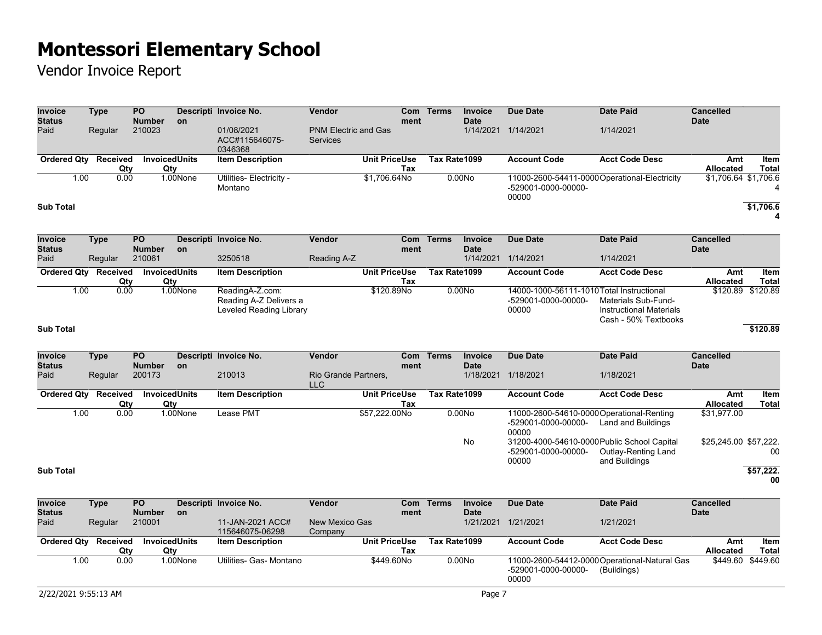| <b>Invoice</b><br><b>Status</b> | Type            | PO<br><b>Number</b>              | on       | Descripti Invoice No.                                                | Vendor                                         |                      | Com<br>ment | <b>Terms</b> | <b>Invoice</b><br><b>Date</b> | Due Date                                                                     | <b>Date Paid</b>                                                                     | <b>Cancelled</b><br><b>Date</b> |                      |
|---------------------------------|-----------------|----------------------------------|----------|----------------------------------------------------------------------|------------------------------------------------|----------------------|-------------|--------------|-------------------------------|------------------------------------------------------------------------------|--------------------------------------------------------------------------------------|---------------------------------|----------------------|
| Paid                            | Regular         | 210023                           |          | 01/08/2021<br>ACC#115646075-<br>0346368                              | <b>PNM Electric and Gas</b><br><b>Services</b> |                      |             |              |                               | 1/14/2021 1/14/2021                                                          | 1/14/2021                                                                            |                                 |                      |
| <b>Ordered Qty</b>              | Received<br>Qty | <b>InvoicedUnits</b><br>Qty      |          | <b>Item Description</b>                                              |                                                | <b>Unit PriceUse</b> | Tax         | Tax Rate1099 |                               | <b>Account Code</b>                                                          | <b>Acct Code Desc</b>                                                                | Amt<br>Allocated                | Item<br><b>Total</b> |
| 1.00                            | 0.00            |                                  | 1.00None | Utilities- Electricity -<br>Montano                                  |                                                | \$1,706.64No         |             |              | 0.00N <sub>o</sub>            | 11000-2600-54411-0000Operational-Electricity<br>-529001-0000-00000-<br>00000 |                                                                                      | \$1,706.64 \$1,706.6            | 4                    |
| <b>Sub Total</b>                |                 |                                  |          |                                                                      |                                                |                      |             |              |                               |                                                                              |                                                                                      |                                 | \$1,706.6            |
| <b>Invoice</b><br><b>Status</b> | Type            | $\overline{PQ}$<br><b>Number</b> | on       | Descripti Invoice No.                                                | <b>Vendor</b>                                  |                      | Com<br>ment | <b>Terms</b> | <b>Invoice</b><br><b>Date</b> | <b>Due Date</b>                                                              | <b>Date Paid</b>                                                                     | <b>Cancelled</b><br><b>Date</b> |                      |
| Paid                            | Regular         | 210061                           |          | 3250518                                                              | Reading A-Z                                    |                      |             |              |                               | 1/14/2021 1/14/2021                                                          | 1/14/2021                                                                            |                                 |                      |
| <b>Ordered Qty</b>              | Received<br>Qty | <b>InvoicedUnits</b><br>Qty      |          | <b>Item Description</b>                                              |                                                | <b>Unit PriceUse</b> | Tax         | Tax Rate1099 |                               | <b>Account Code</b>                                                          | <b>Acct Code Desc</b>                                                                | Amt<br><b>Allocated</b>         | Item<br><b>Total</b> |
| 1.00                            | 0.00            |                                  | 1.00None | ReadingA-Z.com:<br>Reading A-Z Delivers a<br>Leveled Reading Library |                                                | \$120.89No           |             |              | 0.00No                        | 14000-1000-56111-1010Total Instructional<br>-529001-0000-00000-<br>00000     | <b>Materials Sub-Fund-</b><br><b>Instructional Materials</b><br>Cash - 50% Textbooks |                                 | \$120.89 \$120.89    |
| <b>Sub Total</b>                |                 |                                  |          |                                                                      |                                                |                      |             |              |                               |                                                                              |                                                                                      |                                 | \$120.89             |
| <b>Invoice</b><br><b>Status</b> | Type            | PO<br><b>Number</b>              | on       | Descripti Invoice No.                                                | <b>Vendor</b>                                  |                      | Com<br>ment | <b>Terms</b> | Invoice<br><b>Date</b>        | <b>Due Date</b>                                                              | <b>Date Paid</b>                                                                     | <b>Cancelled</b><br><b>Date</b> |                      |
| Paid                            | Regular         | 200173                           |          | 210013                                                               | Rio Grande Partners.<br><b>LLC</b>             |                      |             |              |                               | 1/18/2021 1/18/2021                                                          | 1/18/2021                                                                            |                                 |                      |
| Ordered Qty Received            | Qty             | InvoicedUnits<br>Qty             |          | <b>Item Description</b>                                              |                                                | <b>Unit PriceUse</b> | Tax         | Tax Rate1099 |                               | <b>Account Code</b>                                                          | <b>Acct Code Desc</b>                                                                | Amt<br>Allocated                | Item<br><b>Total</b> |
| 1.00                            | 0.00            |                                  | 1.00None | Lease PMT                                                            |                                                | \$57,222.00No        |             |              | 0.00N <sub>o</sub>            | 11000-2600-54610-0000 Operational-Renting<br>-529001-0000-00000-<br>00000    | Land and Buildings                                                                   | \$31,977.00                     |                      |
|                                 |                 |                                  |          |                                                                      |                                                |                      |             |              | No                            | 31200-4000-54610-0000 Public School Capital<br>-529001-0000-00000-<br>00000  | Outlay-Renting Land<br>and Buildings                                                 | \$25,245.00 \$57,222.           | 00                   |
| <b>Sub Total</b>                |                 |                                  |          |                                                                      |                                                |                      |             |              |                               |                                                                              |                                                                                      |                                 | \$57,222.<br>00      |
| <b>Invoice</b><br><b>Status</b> | <b>Type</b>     | PO<br><b>Number</b>              | on       | Descripti Invoice No.                                                | Vendor                                         |                      | Com<br>ment | <b>Terms</b> | <b>Invoice</b><br><b>Date</b> | <b>Due Date</b>                                                              | <b>Date Paid</b>                                                                     | <b>Cancelled</b><br><b>Date</b> |                      |
| Paid                            | Regular         | 210001                           |          | 11-JAN-2021 ACC#<br>115646075-06298                                  | <b>New Mexico Gas</b><br>Company               |                      |             |              |                               | 1/21/2021 1/21/2021                                                          | 1/21/2021                                                                            |                                 |                      |
| Ordered Qty Received            | Qty             | <b>InvoicedUnits</b><br>Qty      |          | <b>Item Description</b>                                              |                                                | <b>Unit PriceUse</b> | Tax         | Tax Rate1099 |                               | <b>Account Code</b>                                                          | <b>Acct Code Desc</b>                                                                | Amt<br><b>Allocated</b>         | Item<br><b>Total</b> |
| 1.00                            | 0.00            |                                  | 1.00None | Utilities- Gas- Montano                                              |                                                | \$449.60No           |             |              | 0.00N <sub>o</sub>            | -529001-0000-00000-<br>00000                                                 | 11000-2600-54412-0000 Operational-Natural Gas<br>(Buildings)                         | \$449.60                        | \$449.60             |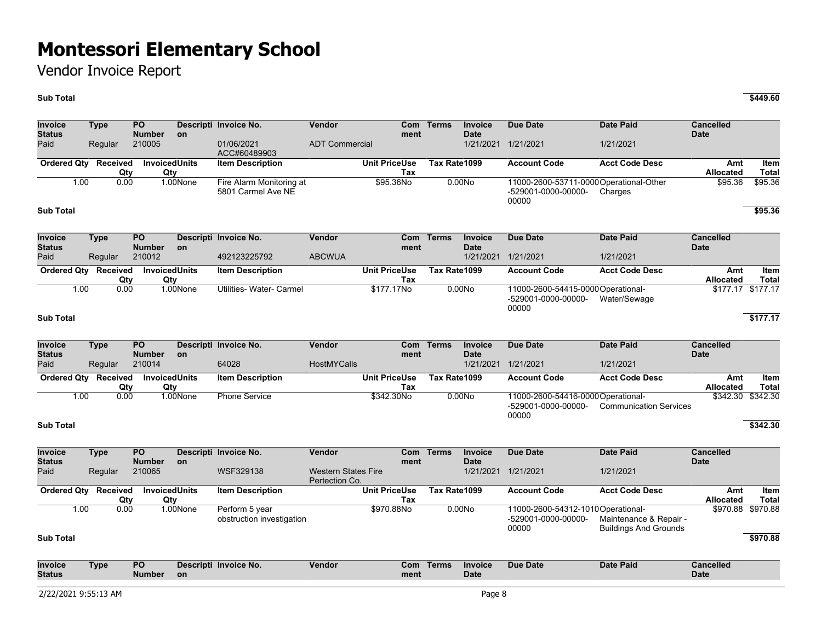### Vendor Invoice Report

### **Sub Total \$449.60**

| <b>Invoice</b><br><b>Status</b> |      | <b>Type</b>                 | <b>PO</b><br><b>Number</b>       | <b>on</b>            | Descripti Invoice No.                          | Vendor                                       | Com<br>ment                 | <b>Terms</b> | <b>Invoice</b><br><b>Date</b> | <b>Due Date</b>                                                        | <b>Date Paid</b>                                       | <b>Cancelled</b><br><b>Date</b> |                      |
|---------------------------------|------|-----------------------------|----------------------------------|----------------------|------------------------------------------------|----------------------------------------------|-----------------------------|--------------|-------------------------------|------------------------------------------------------------------------|--------------------------------------------------------|---------------------------------|----------------------|
| Paid                            |      | Regular                     | 210005                           |                      | 01/06/2021<br>ACC#60489903                     | <b>ADT Commercial</b>                        |                             |              |                               | 1/21/2021 1/21/2021                                                    | 1/21/2021                                              |                                 |                      |
|                                 |      | Ordered Qty Received<br>Qty | Qty                              | <b>InvoicedUnits</b> | <b>Item Description</b>                        |                                              | <b>Unit PriceUse</b><br>Tax | Tax Rate1099 |                               | <b>Account Code</b>                                                    | <b>Acct Code Desc</b>                                  | Amt<br><b>Allocated</b>         | Item<br><b>Total</b> |
|                                 | 1.00 | 0.00                        |                                  | 1.00None             | Fire Alarm Monitoring at<br>5801 Carmel Ave NE |                                              | \$95.36No                   |              | 0.00N <sub>o</sub>            | 11000-2600-53711-0000Operational-Other<br>-529001-0000-00000-<br>00000 | Charges                                                | \$95.36                         | \$95.36              |
| <b>Sub Total</b>                |      |                             |                                  |                      |                                                |                                              |                             |              |                               |                                                                        |                                                        |                                 | \$95.36              |
| <b>Invoice</b><br><b>Status</b> |      | <b>Type</b>                 | $\overline{PQ}$<br><b>Number</b> | on                   | Descripti Invoice No.                          | Vendor                                       | Com<br>ment                 | <b>Terms</b> | Invoice<br><b>Date</b>        | <b>Due Date</b>                                                        | <b>Date Paid</b>                                       | <b>Cancelled</b><br><b>Date</b> |                      |
| Paid                            |      | Regular                     | 210012                           |                      | 492123225792                                   | <b>ABCWUA</b>                                |                             |              |                               | 1/21/2021 1/21/2021                                                    | 1/21/2021                                              |                                 |                      |
|                                 |      | Ordered Qty Received<br>Qty | <b>InvoicedUnits</b><br>Qty      |                      | <b>Item Description</b>                        |                                              | <b>Unit PriceUse</b><br>Tax | Tax Rate1099 |                               | <b>Account Code</b>                                                    | <b>Acct Code Desc</b>                                  | Amt<br><b>Allocated</b>         | Item<br><b>Total</b> |
|                                 | 1.00 | 0.00                        |                                  | 1.00None             | <b>Utilities- Water- Carmel</b>                |                                              | \$177.17No                  |              | 0.00N <sub>o</sub>            | 11000-2600-54415-0000 Operational-<br>-529001-0000-00000-<br>00000     | Water/Sewage                                           | \$177.17                        | \$177.17             |
| <b>Sub Total</b>                |      |                             |                                  |                      |                                                |                                              |                             |              |                               |                                                                        |                                                        |                                 | \$177.17             |
| <b>Invoice</b>                  |      | <b>Type</b>                 | <b>PO</b><br><b>Number</b>       |                      | Descripti Invoice No.                          | Vendor                                       | Com                         | <b>Terms</b> | Invoice<br><b>Date</b>        | <b>Due Date</b>                                                        | <b>Date Paid</b>                                       | <b>Cancelled</b><br><b>Date</b> |                      |
| <b>Status</b><br>Paid           |      | Regular                     | 210014                           | <b>on</b>            | 64028                                          | <b>HostMYCalls</b>                           | ment                        |              |                               | 1/21/2021 1/21/2021                                                    | 1/21/2021                                              |                                 |                      |
|                                 |      | Ordered Qty Received<br>Qty | Qty                              | <b>InvoicedUnits</b> | <b>Item Description</b>                        |                                              | <b>Unit PriceUse</b><br>Tax | Tax Rate1099 |                               | <b>Account Code</b>                                                    | <b>Acct Code Desc</b>                                  | Amt<br><b>Allocated</b>         | Item<br>Total        |
|                                 | 1.00 | 0.00                        |                                  | 1.00None             | <b>Phone Service</b>                           |                                              | \$342.30No                  |              | 0.00N <sub>o</sub>            | 11000-2600-54416-0000 Operational-<br>-529001-0000-00000-<br>00000     | <b>Communication Services</b>                          | \$342.30                        | \$342.30             |
| <b>Sub Total</b>                |      |                             |                                  |                      |                                                |                                              |                             |              |                               |                                                                        |                                                        |                                 | \$342.30             |
| <b>Invoice</b><br><b>Status</b> |      | <b>Type</b>                 | <b>PO</b><br><b>Number</b>       | <b>on</b>            | Descripti Invoice No.                          | Vendor                                       | <b>Com</b><br>ment          | <b>Terms</b> | <b>Invoice</b><br><b>Date</b> | <b>Due Date</b>                                                        | <b>Date Paid</b>                                       | <b>Cancelled</b><br><b>Date</b> |                      |
| Paid                            |      | Regular                     | 210065                           |                      | WSF329138                                      | <b>Western States Fire</b><br>Pertection Co. |                             |              |                               | 1/21/2021 1/21/2021                                                    | 1/21/2021                                              |                                 |                      |
| <b>Ordered Qty</b>              |      | Received<br>Qty             | Qty                              | <b>InvoicedUnits</b> | <b>Item Description</b>                        |                                              | <b>Unit PriceUse</b><br>Tax | Tax Rate1099 |                               | <b>Account Code</b>                                                    | <b>Acct Code Desc</b>                                  | Amt<br><b>Allocated</b>         | Item<br>Total        |
|                                 | 1.00 | 0.00                        |                                  | 1.00None             | Perform 5 year<br>obstruction investigation    |                                              | \$970.88No                  |              | 0.00N <sub>o</sub>            | 11000-2600-54312-1010Operational-<br>-529001-0000-00000-<br>00000      | Maintenance & Repair -<br><b>Buildings And Grounds</b> |                                 | \$970.88 \$970.88    |
| <b>Sub Total</b>                |      |                             |                                  |                      |                                                |                                              |                             |              |                               |                                                                        |                                                        |                                 | \$970.88             |
| Invoice<br><b>Status</b>        |      | <b>Type</b>                 | <b>PO</b><br><b>Number</b>       | on                   | Descripti Invoice No.                          | <b>Vendor</b>                                | Com<br>ment                 | <b>Terms</b> | <b>Invoice</b><br><b>Date</b> | <b>Due Date</b>                                                        | <b>Date Paid</b>                                       | <b>Cancelled</b><br><b>Date</b> |                      |
| 2/22/2021 9:55:13 AM            |      |                             |                                  |                      |                                                |                                              |                             |              | Page 8                        |                                                                        |                                                        |                                 |                      |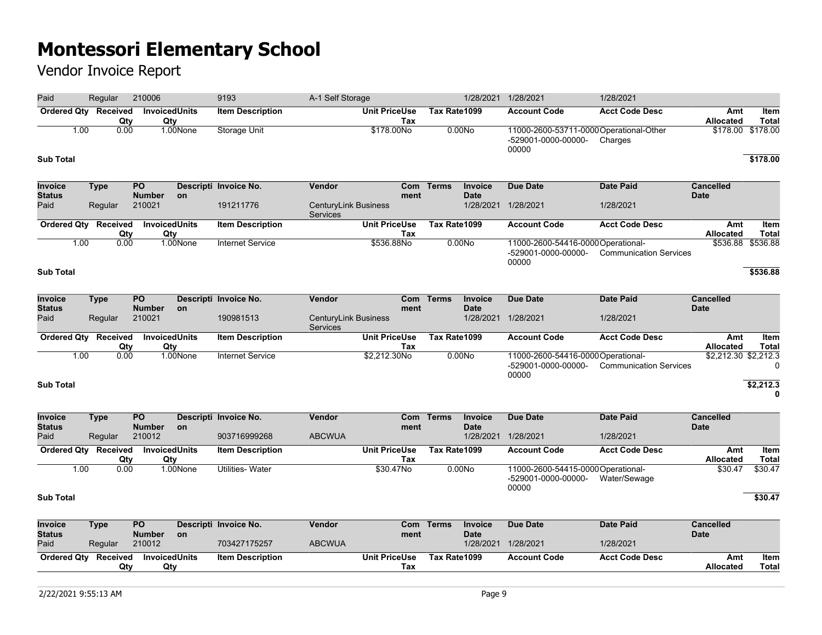| Paid                             | Regular                | 210006                           |          | 9193                               | A-1 Self Storage                        |                             |              |                        | 1/28/2021 1/28/2021                                                    | 1/28/2021                     |                                 |                               |
|----------------------------------|------------------------|----------------------------------|----------|------------------------------------|-----------------------------------------|-----------------------------|--------------|------------------------|------------------------------------------------------------------------|-------------------------------|---------------------------------|-------------------------------|
| Ordered Qty Received             | Qty                    | InvoicedUnits<br>Qty             |          | <b>Item Description</b>            |                                         | <b>Unit PriceUse</b><br>Tax | Tax Rate1099 |                        | <b>Account Code</b>                                                    | <b>Acct Code Desc</b>         | Amt<br><b>Allocated</b>         | Item<br><b>Total</b>          |
| 1.00<br><b>Sub Total</b>         | 0.00                   |                                  | 1.00None | <b>Storage Unit</b>                |                                         | \$178.00No                  |              | 0.00N <sub>o</sub>     | 11000-2600-53711-0000Operational-Other<br>-529001-0000-00000-<br>00000 | Charges                       |                                 | \$178.00 \$178.00<br>\$178.00 |
| Invoice<br><b>Status</b><br>Paid | <b>Type</b><br>Regular | PO<br><b>Number</b><br>210021    | on       | Descripti Invoice No.<br>191211776 | Vendor<br><b>CenturyLink Business</b>   | Com<br>ment                 | <b>Terms</b> | Invoice<br><b>Date</b> | <b>Due Date</b><br>1/28/2021 1/28/2021                                 | <b>Date Paid</b><br>1/28/2021 | <b>Cancelled</b><br><b>Date</b> |                               |
|                                  |                        |                                  |          |                                    | <b>Services</b>                         |                             |              |                        |                                                                        |                               |                                 |                               |
| <b>Ordered Qty</b>               | <b>Received</b><br>Qty | InvoicedUnits<br>Qty             |          | <b>Item Description</b>            |                                         | <b>Unit PriceUse</b><br>Tax | Tax Rate1099 |                        | <b>Account Code</b>                                                    | <b>Acct Code Desc</b>         | Amt<br>Allocated                | Item<br>Total                 |
| 1.00<br><b>Sub Total</b>         | 0.00                   |                                  | 1.00None | <b>Internet Service</b>            |                                         | \$536.88No                  |              | 0.00No                 | 11000-2600-54416-0000 Operational-<br>-529001-0000-00000-<br>00000     | <b>Communication Services</b> | \$536.88                        | \$536.88<br>\$536.88          |
|                                  |                        |                                  |          |                                    |                                         |                             |              |                        |                                                                        |                               |                                 |                               |
| <b>Invoice</b><br><b>Status</b>  | <b>Type</b>            | $\overline{PQ}$<br><b>Number</b> | on       | Descripti Invoice No.              | <b>Vendor</b>                           | Com<br>ment                 | <b>Terms</b> | Invoice<br><b>Date</b> | <b>Due Date</b>                                                        | <b>Date Paid</b>              | <b>Cancelled</b><br><b>Date</b> |                               |
| Paid                             | Regular                | 210021                           |          | 190981513                          | <b>CenturyLink Business</b><br>Services |                             |              |                        | 1/28/2021 1/28/2021                                                    | 1/28/2021                     |                                 |                               |
| <b>Ordered Qty Received</b>      | Qty                    | <b>InvoicedUnits</b><br>Qty      |          | <b>Item Description</b>            |                                         | <b>Unit PriceUse</b><br>Tax | Tax Rate1099 |                        | <b>Account Code</b>                                                    | <b>Acct Code Desc</b>         | Amt<br><b>Allocated</b>         | Item<br><b>Total</b>          |
| 1.00<br><b>Sub Total</b>         | 0.00                   |                                  | 1.00None | <b>Internet Service</b>            |                                         | \$2,212.30No                |              | 0.00N <sub>o</sub>     | 11000-2600-54416-0000 Operational-<br>-529001-0000-00000-<br>00000     | <b>Communication Services</b> | \$2,212.30 \$2,212.3            | 0<br>\$2,212.3                |
|                                  |                        |                                  |          |                                    |                                         |                             |              |                        |                                                                        |                               |                                 | $\mathbf{0}$                  |
| <b>Invoice</b>                   | Type                   | PO                               |          | Descripti Invoice No.              | Vendor                                  | Com                         | <b>Terms</b> | Invoice                | <b>Due Date</b>                                                        | <b>Date Paid</b>              | <b>Cancelled</b>                |                               |
| <b>Status</b><br>Paid            | Regular                | <b>Number</b><br>210012          | on       | 903716999268                       | <b>ABCWUA</b>                           | ment                        |              | <b>Date</b>            | 1/28/2021 1/28/2021                                                    | 1/28/2021                     | <b>Date</b>                     |                               |
| <b>Ordered Qty</b>               | Received<br>Qty        | <b>InvoicedUnits</b><br>Qty      |          | <b>Item Description</b>            |                                         | <b>Unit PriceUse</b><br>Tax | Tax Rate1099 |                        | <b>Account Code</b>                                                    | <b>Acct Code Desc</b>         | Amt<br>Allocated                | Item<br><b>Total</b>          |
| 1.00                             | 0.00                   |                                  | 1.00None | <b>Utilities- Water</b>            |                                         | \$30.47No                   |              | 0.00No                 | 11000-2600-54415-0000 Operational-<br>-529001-0000-00000-<br>00000     | Water/Sewage                  | \$30.47                         | \$30.47                       |
| <b>Sub Total</b>                 |                        |                                  |          |                                    |                                         |                             |              |                        |                                                                        |                               |                                 | \$30.47                       |
| <b>Invoice</b><br><b>Status</b>  | <b>Type</b>            | <b>PO</b><br><b>Number</b>       | on       | Descripti Invoice No.              | Vendor                                  | Com<br>ment                 | <b>Terms</b> | Invoice<br><b>Date</b> | <b>Due Date</b>                                                        | <b>Date Paid</b>              | <b>Cancelled</b><br><b>Date</b> |                               |
| Paid                             | Regular                | 210012                           |          | 703427175257                       | <b>ABCWUA</b>                           |                             |              |                        | 1/28/2021 1/28/2021                                                    | 1/28/2021                     |                                 |                               |
| <b>Ordered Qty</b>               | Received<br>Qty        | InvoicedUnits<br>Qty             |          | <b>Item Description</b>            |                                         | <b>Unit PriceUse</b><br>Tax | Tax Rate1099 |                        | <b>Account Code</b>                                                    | <b>Acct Code Desc</b>         | Amt<br><b>Allocated</b>         | Item<br>Total                 |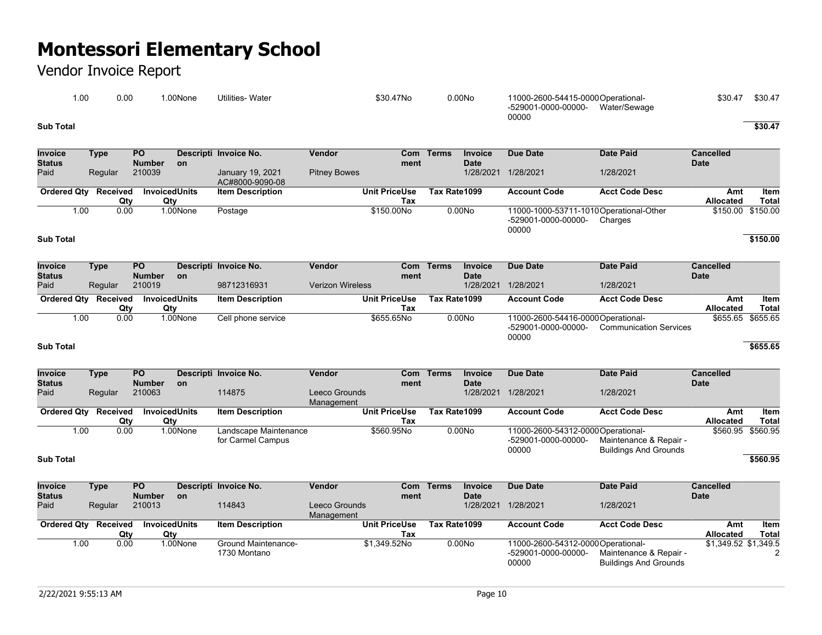### Vendor Invoice Report

| .00              | 0.00 | .00None | Utilities- Water | \$30.47No | 0.00N <sub>O</sub> | 11000-2600-54415-0000 Operational-           | \$30.47 | \$30.47 |
|------------------|------|---------|------------------|-----------|--------------------|----------------------------------------------|---------|---------|
|                  |      |         |                  |           |                    | Water/Sewage<br>-529001-0000-00000-<br>00000 |         |         |
| <b>Sub Total</b> |      |         |                  |           |                    |                                              |         | \$30.47 |

| <b>Invoice</b><br><b>Status</b> | Type     | <b>PO</b><br><b>Number</b> | <b>on</b> | Descripti Invoice No.               | Vendor              | ment                 | Com Terms    | <b>Invoice</b><br><b>Date</b> | Due Date                                                                | Date Paid             | <b>Cancelled</b><br><b>Date</b> |                   |
|---------------------------------|----------|----------------------------|-----------|-------------------------------------|---------------------|----------------------|--------------|-------------------------------|-------------------------------------------------------------------------|-----------------------|---------------------------------|-------------------|
| Paid                            | Regular  | 210039                     |           | January 19, 2021<br>AC#8000-9090-08 | <b>Pitney Bowes</b> |                      |              | 1/28/2021                     | 1/28/2021                                                               | 1/28/2021             |                                 |                   |
| <b>Ordered Qtv</b>              | Received | <b>InvoicedUnits</b>       |           | <b>Item Description</b>             |                     | <b>Unit PriceUse</b> | Tax Rate1099 |                               | <b>Account Code</b>                                                     | <b>Acct Code Desc</b> | Amt                             | Item              |
|                                 | Qty      | Qty                        |           |                                     |                     | Tax                  |              |                               |                                                                         |                       | <b>Allocated</b>                | Total             |
| 1.00                            | 0.00     |                            | 1.00None  | Postage                             |                     | \$150,00No           |              | 0.00N <sub>O</sub>            | 11000-1000-53711-1010 Operational-Other<br>-529001-0000-00000-<br>00000 | Charges               |                                 | \$150.00 \$150.00 |
| <b>Sub Total</b>                |          |                            |           |                                     |                     |                      |              |                               |                                                                         |                       |                                 | \$150.00          |

| <b>Invoice</b><br><b>Status</b> | Type     | <b>PO</b><br><b>Number</b> | <b>on</b> | Descripti Invoice No.   | <b>Vendor</b>           | ment       | Com Terms    | Invoice<br><b>Date</b> | Due Date                                                           | Date Paid                     | <b>Cancelled</b><br><b>Date</b> |                   |
|---------------------------------|----------|----------------------------|-----------|-------------------------|-------------------------|------------|--------------|------------------------|--------------------------------------------------------------------|-------------------------------|---------------------------------|-------------------|
| Paid                            | Regular  | 210019                     |           | 98712316931             | <b>Verizon Wireless</b> |            |              | 1/28/2021              | 1/28/2021                                                          | 1/28/2021                     |                                 |                   |
| <b>Ordered Qty</b>              | Received | <b>InvoicedUnits</b>       |           | <b>Item Description</b> | <b>Unit PriceUse</b>    |            | Tax Rate1099 |                        | <b>Account Code</b>                                                | <b>Acct Code Desc</b>         | Amt                             | Item              |
|                                 | Qty      | Qty                        |           |                         |                         | Tax        |              |                        |                                                                    |                               | Allocated                       | Total             |
| 1.00                            | 0.00     |                            | 1.00None  | Cell phone service      |                         | \$655,65No |              | 0.00N <sub>0</sub>     | 11000-2600-54416-0000 Operational-<br>-529001-0000-00000-<br>00000 | <b>Communication Services</b> |                                 | \$655.65 \$655.65 |

### **Sub Total \$655.65**

| <b>Invoice</b><br><b>Status</b> | Type            | <b>PO</b><br><b>Number</b> | <b>on</b> | Descripti Invoice No.   | Vendor        | ment                 | Com Terms    | <b>Invoice</b><br><b>Date</b> | Due Date                           | Date Paid                    | <b>Cancelled</b><br><b>Date</b> |                   |
|---------------------------------|-----------------|----------------------------|-----------|-------------------------|---------------|----------------------|--------------|-------------------------------|------------------------------------|------------------------------|---------------------------------|-------------------|
| Paid                            | Regular         | 210063                     |           | 114875                  | Leeco Grounds |                      |              | 1/28/2021                     | 1/28/2021                          | 1/28/2021                    |                                 |                   |
|                                 |                 |                            |           |                         | Management    |                      |              |                               |                                    |                              |                                 |                   |
| <b>Ordered Qty</b>              | <b>Received</b> | <b>InvoicedUnits</b>       |           | <b>Item Description</b> |               | <b>Unit PriceUse</b> | Tax Rate1099 |                               | <b>Account Code</b>                | <b>Acct Code Desc</b>        | Amt                             | <b>Item</b>       |
|                                 | Qty             | Qty                        |           |                         |               | Tax                  |              |                               |                                    |                              | <b>Allocated</b>                | Total             |
| 1.00                            | 0.00            |                            | 1.00None  | Landscape Maintenance   |               | \$560.95No           |              | 0.00N <sub>o</sub>            | 11000-2600-54312-0000 Operational- |                              |                                 | \$560.95 \$560.95 |
|                                 |                 |                            |           | for Carmel Campus       |               |                      |              |                               | -529001-0000-00000-                | Maintenance & Repair -       |                                 |                   |
|                                 |                 |                            |           |                         |               |                      |              |                               | 00000                              | <b>Buildings And Grounds</b> |                                 |                   |
| <b>Sub Total</b>                |                 |                            |           |                         |               |                      |              |                               |                                    |                              |                                 | \$560.95          |

| <b>Invoice</b><br><b>Status</b> | Type            | <b>PO</b><br><b>Number</b>  | -on      | Descripti Invoice No.               | <b>Vendor</b>               | Com<br>ment | <b>Terms</b> | <b>Invoice</b><br><b>Date</b> | Due Date                                                          | Date Paid                                              | <b>Cancelled</b><br><b>Date</b> |               |
|---------------------------------|-----------------|-----------------------------|----------|-------------------------------------|-----------------------------|-------------|--------------|-------------------------------|-------------------------------------------------------------------|--------------------------------------------------------|---------------------------------|---------------|
| Paid                            | Regular         | 210013                      |          | 114843                              | Leeco Grounds<br>Management |             |              | 1/28/2021                     | 1/28/2021                                                         | 1/28/2021                                              |                                 |               |
| <b>Ordered Qtv</b>              | Received<br>Qty | <b>InvoicedUnits</b><br>Qty |          | <b>Item Description</b>             | <b>Unit PriceUse</b>        | Tax         | Tax Rate1099 |                               | <b>Account Code</b>                                               | <b>Acct Code Desc</b>                                  | Amt<br><b>Allocated</b>         | Item<br>Total |
| 1.00                            | 0.00            |                             | 1.00None | Ground Maintenance-<br>1730 Montano | \$1.349.52No                |             |              | 0.00N <sub>O</sub>            | 11000-2600-54312-0000Operational-<br>-529001-0000-00000-<br>00000 | Maintenance & Repair -<br><b>Buildings And Grounds</b> | \$1,349.52 \$1,349.5            |               |